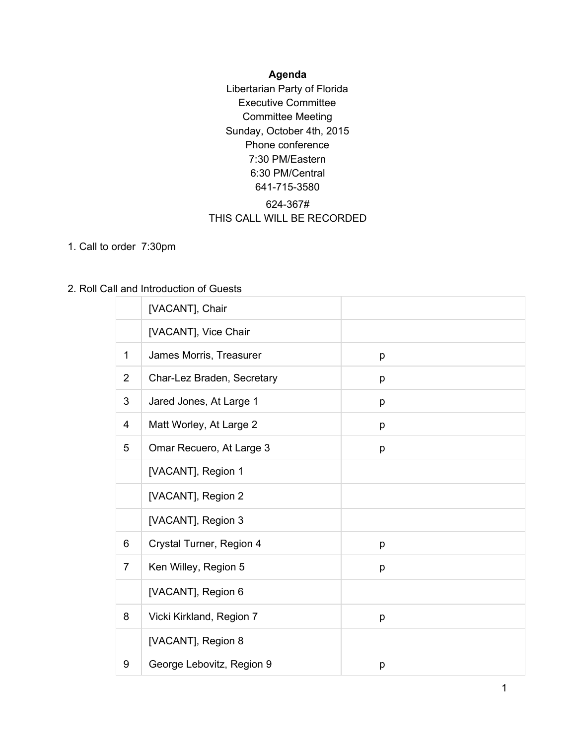## **Agenda**

Libertarian Party of Florida Executive Committee Committee Meeting Sunday, October 4th, 2015 Phone conference 7:30 PM/Eastern 6:30 PM/Central 641-715-3580 624-367# THIS CALL WILL BE RECORDED

1. Call to order 7:30pm

#### 2. Roll Call and Introduction of Guests

|                | [VACANT], Chair            |   |
|----------------|----------------------------|---|
|                | [VACANT], Vice Chair       |   |
| 1              | James Morris, Treasurer    | p |
| $\overline{2}$ | Char-Lez Braden, Secretary | p |
| 3              | Jared Jones, At Large 1    | p |
| 4              | Matt Worley, At Large 2    | p |
| 5              | Omar Recuero, At Large 3   | p |
|                | [VACANT], Region 1         |   |
|                | [VACANT], Region 2         |   |
|                | [VACANT], Region 3         |   |
| 6              | Crystal Turner, Region 4   | p |
| $\overline{7}$ | Ken Willey, Region 5       | p |
|                | [VACANT], Region 6         |   |
| 8              | Vicki Kirkland, Region 7   | p |
|                | [VACANT], Region 8         |   |
| 9              | George Lebovitz, Region 9  | p |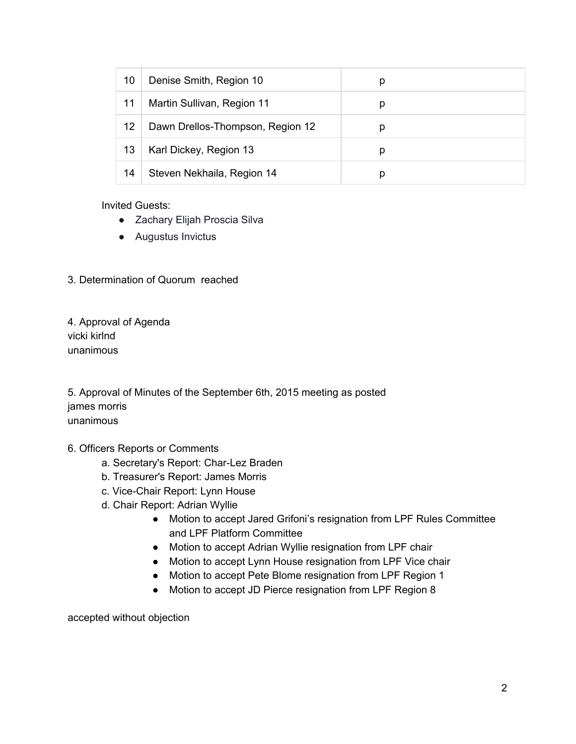| 10 | Denise Smith, Region 10          | р |  |
|----|----------------------------------|---|--|
| 11 | Martin Sullivan, Region 11       | p |  |
| 12 | Dawn Drellos-Thompson, Region 12 | р |  |
| 13 | Karl Dickey, Region 13           | р |  |
| 14 | Steven Nekhaila, Region 14       | р |  |

Invited Guests:

- Zachary Elijah Proscia Silva
- Augustus Invictus

3. Determination of Quorum reached

4. Approval of Agenda vicki kirlnd unanimous

5. Approval of Minutes of the September 6th, 2015 meeting as posted james morris unanimous

## 6. Officers Reports or Comments

- a. Secretary's Report: Char-Lez Braden
- b. Treasurer's Report: James Morris
- c. Vice-Chair Report: Lynn House
- d. Chair Report: Adrian Wyllie
	- Motion to accept Jared Grifoni's resignation from LPF Rules Committee and LPF Platform Committee
	- Motion to accept Adrian Wyllie resignation from LPF chair
	- Motion to accept Lynn House resignation from LPF Vice chair
	- Motion to accept Pete Blome resignation from LPF Region 1
	- Motion to accept JD Pierce resignation from LPF Region 8

accepted without objection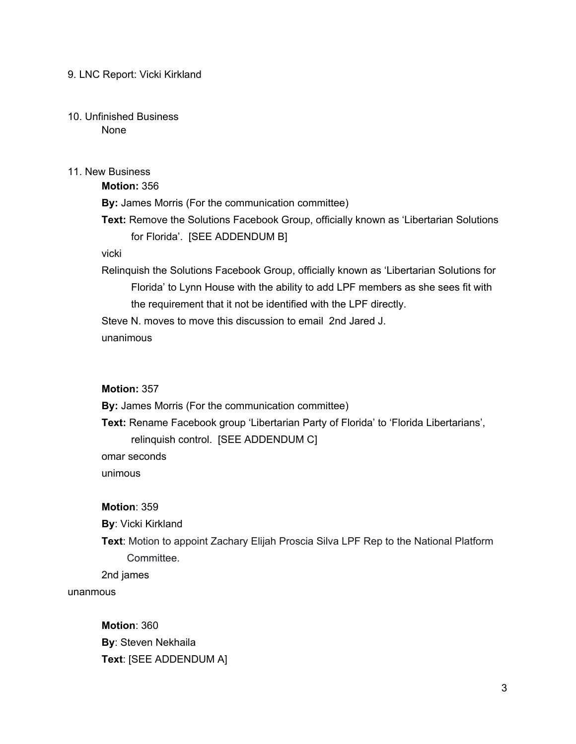#### 9. LNC Report: Vicki Kirkland

#### 10. Unfinished Business None

#### 11. New Business

**Motion:** 356 **By:** James Morris (For the communication committee) **Text:** Remove the Solutions Facebook Group, officially known as 'Libertarian Solutions for Florida'. [SEE ADDENDUM B]

## vicki

Relinquish the Solutions Facebook Group, officially known as 'Libertarian Solutions for Florida' to Lynn House with the ability to add LPF members as she sees fit with the requirement that it not be identified with the LPF directly.

Steve N. moves to move this discussion to email 2nd Jared J.

unanimous

## **Motion:** 357

**By:** James Morris (For the communication committee)

**Text:** Rename Facebook group 'Libertarian Party of Florida' to 'Florida Libertarians',

relinquish control. [SEE ADDENDUM C]

omar seconds

unimous

#### **Motion**: 359

**By**: Vicki Kirkland

**Text**: Motion to appoint Zachary Elijah Proscia Silva LPF Rep to the National Platform Committee.

2nd james

unanmous

**Motion**: 360 **By**: Steven Nekhaila **Text**: [SEE ADDENDUM A]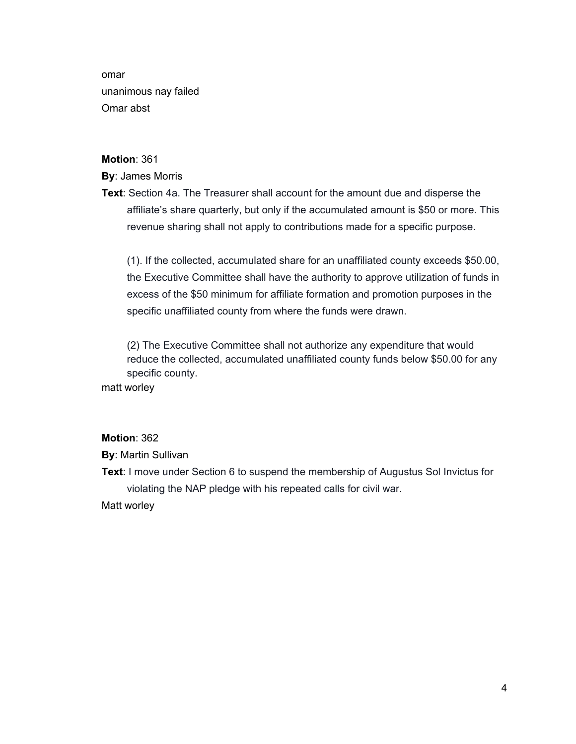omar unanimous nay failed Omar abst

#### **Motion**: 361

#### **By**: James Morris

**Text**: Section 4a. The Treasurer shall account for the amount due and disperse the affiliate's share quarterly, but only if the accumulated amount is \$50 or more. This revenue sharing shall not apply to contributions made for a specific purpose.

(1). If the collected, accumulated share for an unaffiliated county exceeds \$50.00, the Executive Committee shall have the authority to approve utilization of funds in excess of the \$50 minimum for affiliate formation and promotion purposes in the specific unaffiliated county from where the funds were drawn.

(2) The Executive Committee shall not authorize any expenditure that would reduce the collected, accumulated unaffiliated county funds below \$50.00 for any specific county.

matt worley

#### **Motion**: 362

**By**: Martin Sullivan

**Text**: I move under Section 6 to suspend the membership of Augustus Sol Invictus for violating the NAP pledge with his repeated calls for civil war.

Matt worley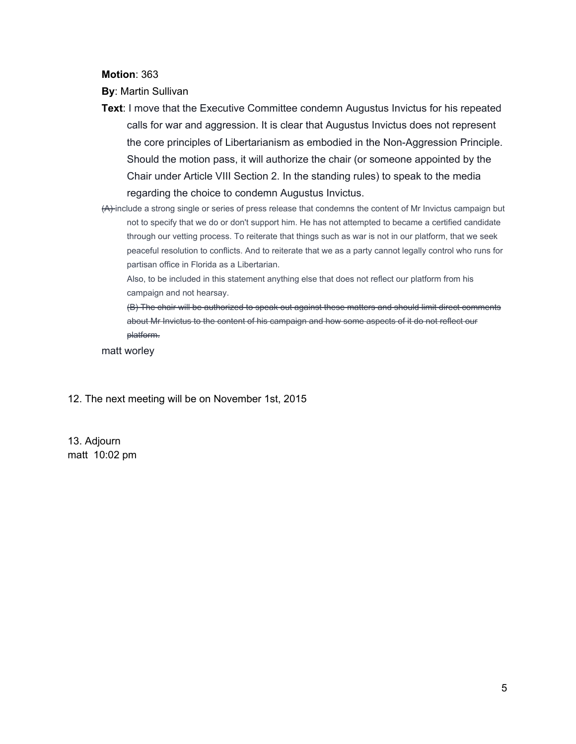**Motion**: 363

**By**: Martin Sullivan

- **Text**: I move that the Executive Committee condemn Augustus Invictus for his repeated calls for war and aggression. It is clear that Augustus Invictus does not represent the core principles of Libertarianism as embodied in the Non-Aggression Principle. Should the motion pass, it will authorize the chair (or someone appointed by the Chair under Article VIII Section 2. In the standing rules) to speak to the media regarding the choice to condemn Augustus Invictus.
- (A) include a strong single or series of press release that condemns the content of Mr Invictus campaign but not to specify that we do or don't support him. He has not attempted to became a certified candidate through our vetting process. To reiterate that things such as war is not in our platform, that we seek peaceful resolution to conflicts. And to reiterate that we as a party cannot legally control who runs for partisan office in Florida as a Libertarian.

Also, to be included in this statement anything else that does not reflect our platform from his campaign and not hearsay.

(B) The chair will be authorized to speak out against these matters and should limit direct comments about Mr Invictus to the content of his campaign and how some aspects of it do not reflect our platform.

matt worley

12. The next meeting will be on November 1st, 2015

13. Adjourn matt 10:02 pm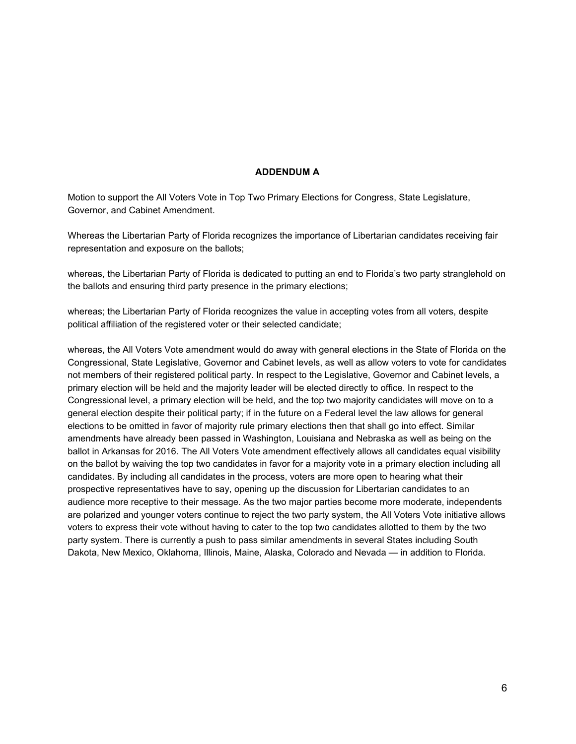#### **ADDENDUM A**

Motion to support the All Voters Vote in Top Two Primary Elections for Congress, State Legislature, Governor, and Cabinet Amendment.

Whereas the Libertarian Party of Florida recognizes the importance of Libertarian candidates receiving fair representation and exposure on the ballots;

whereas, the Libertarian Party of Florida is dedicated to putting an end to Florida's two party stranglehold on the ballots and ensuring third party presence in the primary elections;

whereas; the Libertarian Party of Florida recognizes the value in accepting votes from all voters, despite political affiliation of the registered voter or their selected candidate;

whereas, the All Voters Vote amendment would do away with general elections in the State of Florida on the Congressional, State Legislative, Governor and Cabinet levels, as well as allow voters to vote for candidates not members of their registered political party. In respect to the Legislative, Governor and Cabinet levels, a primary election will be held and the majority leader will be elected directly to office. In respect to the Congressional level, a primary election will be held, and the top two majority candidates will move on to a general election despite their political party; if in the future on a Federal level the law allows for general elections to be omitted in favor of majority rule primary elections then that shall go into effect. Similar amendments have already been passed in Washington, Louisiana and Nebraska as well as being on the ballot in Arkansas for 2016. The All Voters Vote amendment effectively allows all candidates equal visibility on the ballot by waiving the top two candidates in favor for a majority vote in a primary election including all candidates. By including all candidates in the process, voters are more open to hearing what their prospective representatives have to say, opening up the discussion for Libertarian candidates to an audience more receptive to their message. As the two major parties become more moderate, independents are polarized and younger voters continue to reject the two party system, the All Voters Vote initiative allows voters to express their vote without having to cater to the top two candidates allotted to them by the two party system. There is currently a push to pass similar amendments in several States including South Dakota, New Mexico, Oklahoma, Illinois, Maine, Alaska, Colorado and Nevada — in addition to Florida.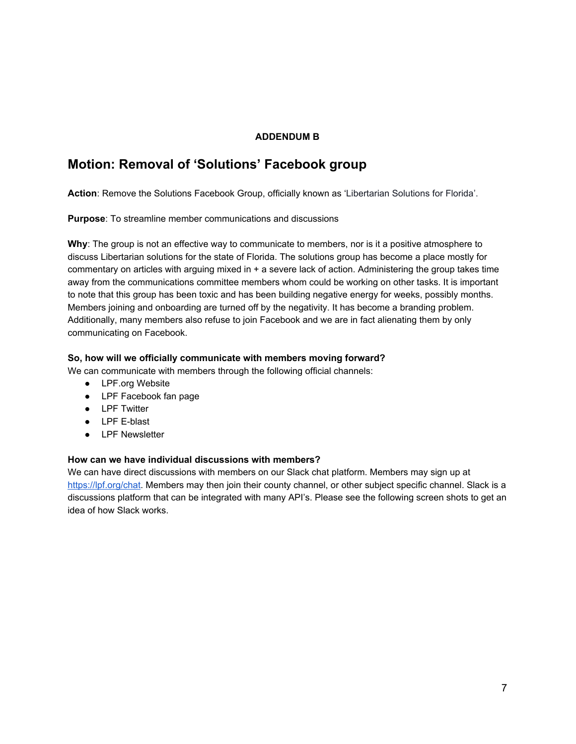#### **ADDENDUM B**

## **Motion: Removal of 'Solutions' Facebook group**

**Action**: Remove the Solutions Facebook Group, officially known as 'Libertarian Solutions for Florida'.

**Purpose**: To streamline member communications and discussions

**Why**: The group is not an effective way to communicate to members, nor is it a positive atmosphere to discuss Libertarian solutions for the state of Florida. The solutions group has become a place mostly for commentary on articles with arguing mixed in + a severe lack of action. Administering the group takes time away from the communications committee members whom could be working on other tasks. It is important to note that this group has been toxic and has been building negative energy for weeks, possibly months. Members joining and onboarding are turned off by the negativity. It has become a branding problem. Additionally, many members also refuse to join Facebook and we are in fact alienating them by only communicating on Facebook.

#### **So, how will we officially communicate with members moving forward?**

We can communicate with members through the following official channels:

- LPF.org Website
- LPF Facebook fan page
- LPF Twitter
- LPF E-blast
- LPF Newsletter

#### **How can we have individual discussions with members?**

We can have direct discussions with members on our Slack chat platform. Members may sign up at [https://lpf.org/chat.](https://lpf.org/chat) Members may then join their county channel, or other subject specific channel. Slack is a discussions platform that can be integrated with many API's. Please see the following screen shots to get an idea of how Slack works.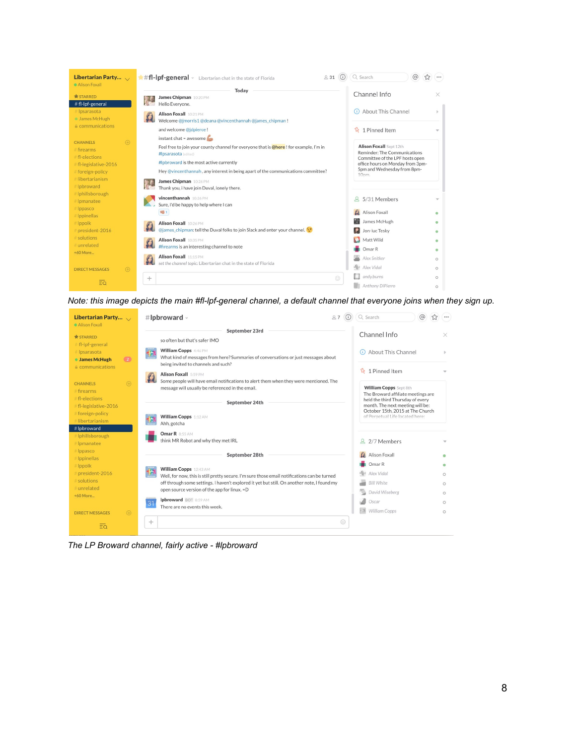| Libertarian Party $\sqrt{ }$<br>Alison Foxall                                                             | ##fl-lpf-general v Libertarian chat in the state of Florida<br>⋒<br>231                                                                                                                                                                      | $\circledcirc$<br>Q Search<br>☆                                                                                                                                                          |                    |
|-----------------------------------------------------------------------------------------------------------|----------------------------------------------------------------------------------------------------------------------------------------------------------------------------------------------------------------------------------------------|------------------------------------------------------------------------------------------------------------------------------------------------------------------------------------------|--------------------|
| <b>* STARRED</b><br># fl-lpf-general                                                                      | Today<br>James Chipman 10:20 PM<br>Hello Evervone.                                                                                                                                                                                           | Channel Info                                                                                                                                                                             |                    |
| # Ipsarasota<br>· James McHugh                                                                            | Alison Foxall 10:21 PM<br>Welcome @jmorris1@deana@vincenthannah @james_chipman!                                                                                                                                                              | About This Channel<br>(i)                                                                                                                                                                |                    |
| <b>A</b> communications                                                                                   | and welcome @jdpierce !<br>instant chat = awesome                                                                                                                                                                                            | $\frac{1}{2}$ 1 Pinned Item                                                                                                                                                              |                    |
| $\bigoplus$<br><b>CHANNELS</b><br># firearms<br>#fl-elections<br># fl-legislative-2016<br>#foreign-policy | Feel free to join your county channel for everyone that is @here! for example, I'm in<br>#Ipsarasota (edited)<br>#Ipbroward is the most active currently<br>Hey @vincenthannah, any interest in being apart of the communications committee? | <b>Alison Foxall</b> Sept 12th<br>Reminder: The Communications<br>Committee of the LPF hosts open<br>office hours on Monday from 3pm-<br>5pm and Wednesday from 8pm-<br>10 <sub>nm</sub> |                    |
| # libertarianism<br># Ipbroward<br># Iphillsborough<br>#Ipmanatee                                         | James Chipman 10:26 PM<br>Thank you, i have join Duval, lonely there.<br>vincenthannah 10:26 PM                                                                                                                                              | 8 5/31 Members                                                                                                                                                                           |                    |
| # Ippasco<br># Ippinellas                                                                                 | Sure, I'd be happy to help where I can<br><b>ug</b> <sub>1</sub>                                                                                                                                                                             | Alison Foxall                                                                                                                                                                            |                    |
| # Ippolk<br>president-2016                                                                                | Alison Foxall 10:26 PM<br>@james_chipman: tell the Duval folks to join Slack and enter your channel.                                                                                                                                         | James McHugh<br>Jon-luc Tesky                                                                                                                                                            |                    |
| # solutions<br># unrelated<br>+60 More                                                                    | Alison Foxall 10:35 PM<br>#firearms is an interesting channel to note                                                                                                                                                                        | Matt Wild<br>Omar <sub>R</sub>                                                                                                                                                           |                    |
| $\bigoplus$<br><b>DIRECT MESSAGES</b>                                                                     | Alison Foxall 11:15 PM<br>set the channel topic: Libertarian chat in the state of Florida                                                                                                                                                    | Alex Snitker<br>Alex Vidal                                                                                                                                                               | $\circ$<br>$\circ$ |
| $\overline{\Xi\Omega}$                                                                                    | $\odot$<br>$+$                                                                                                                                                                                                                               | $\Box$ andy.burns<br>Anthony DiPierro                                                                                                                                                    | $\circ$<br>$\circ$ |

*Note: this image depicts the main #fl-lpf-general channel, a default channel that everyone joins when they sign up.*

| Libertarian Party $\sqrt{ }$<br>Alison Foxall                                      | #Ipbroward $\cdot$<br>87                                                                                                                                                                                                     | $\circledcirc$<br>Q Search                                                                                                                  | ☆<br>$\cdots$      |
|------------------------------------------------------------------------------------|------------------------------------------------------------------------------------------------------------------------------------------------------------------------------------------------------------------------------|---------------------------------------------------------------------------------------------------------------------------------------------|--------------------|
| <b>*STARRED</b>                                                                    | September 23rd<br>so often but that's safer IMO                                                                                                                                                                              | Channel Info                                                                                                                                | ×                  |
| # fl-lpf-general<br># Ipsarasota<br><b>James McHugh</b><br>(2)<br>A communications | <b>William Copps</b> 4:46 PM<br>48<br>What kind of messages from here? Summaries of conversations or just messages about<br>being invited to channels and such?                                                              | About This Channel                                                                                                                          |                    |
| $\bigoplus$<br><b>CHANNELS</b><br>$#$ firearms<br>#fl-elections                    | <b>Alison Foxall</b> 5:59 PM<br>$\mathcal{A}$<br>Some people will have email notifications to alert them when they were mentioned. The<br>message will usually be referenced in the email.                                   | $\frac{1}{2}$ 1 Pinned Item<br><b>William Copps</b> Sept 8th<br>The Broward affiliate meetings are                                          |                    |
| #fl-legislative-2016<br># foreign-policy<br># libertarianism                       | September 24th<br><b>William Copps</b> 1:12 AM<br>Ahh, gotcha                                                                                                                                                                | held the third Thursday of every<br>month. The next meeting will be:<br>October 15th, 2015 at The Church<br>of Perpetual Life located here: |                    |
| # lpbroward<br># Iphillsborough<br># Ipmanatee                                     | Omar R 8:55 AM<br>think MR Robot and why they met IRL                                                                                                                                                                        | 2 2/7 Members                                                                                                                               |                    |
| # Ippasco<br># Ippinellas                                                          | September 28th                                                                                                                                                                                                               | Alison Foxall                                                                                                                               |                    |
| # Ippolk<br># president-2016<br># solutions                                        | <b>William Copps</b> 12:43 AM<br>Well, for now, this is still pretty secure. I'm sure those email notifications can be turned<br>off through some settings. I haven't explored it yet but still. On another note, I found my | Omar R<br>Alex Vidal<br><b>Bill White</b>                                                                                                   | $\circ$<br>$\circ$ |
| # unrelated<br>+60 More                                                            | open source version of the app for linux. = D                                                                                                                                                                                | David Wiseberg                                                                                                                              | $\circ$            |
|                                                                                    | <b>Ipbroward BOT 8:59 AM</b><br>31<br>There are no events this week.                                                                                                                                                         | Oscar<br>- 3<br><b>William Copps</b>                                                                                                        | $\circ$<br>$\circ$ |
| $\bigoplus$<br><b>DIRECT MESSAGES</b><br>$\overline{\Xi\alpha}$                    | $\odot$<br>$+$                                                                                                                                                                                                               |                                                                                                                                             |                    |

*The LP Broward channel, fairly active - #lpbroward*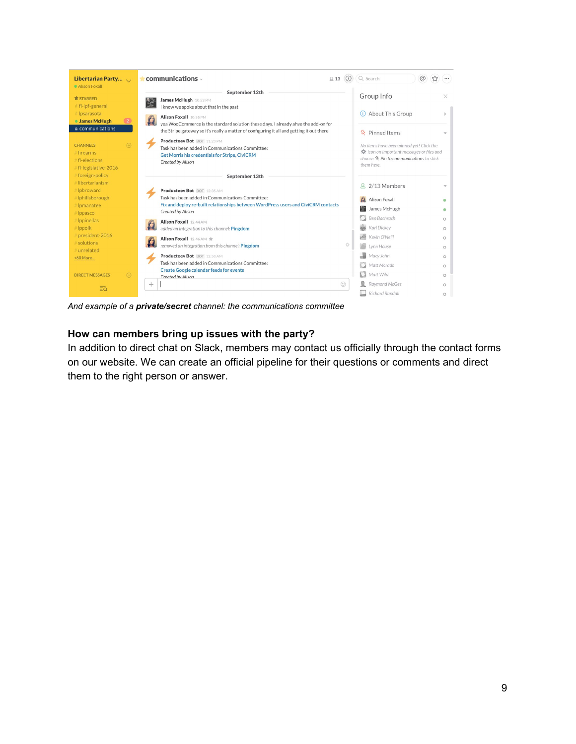

*And example of a private/secret channel: the communications committee*

### **How can members bring up issues with the party?**

In addition to direct chat on Slack, members may contact us officially through the contact forms on our website. We can create an official pipeline for their questions or comments and direct them to the right person or answer.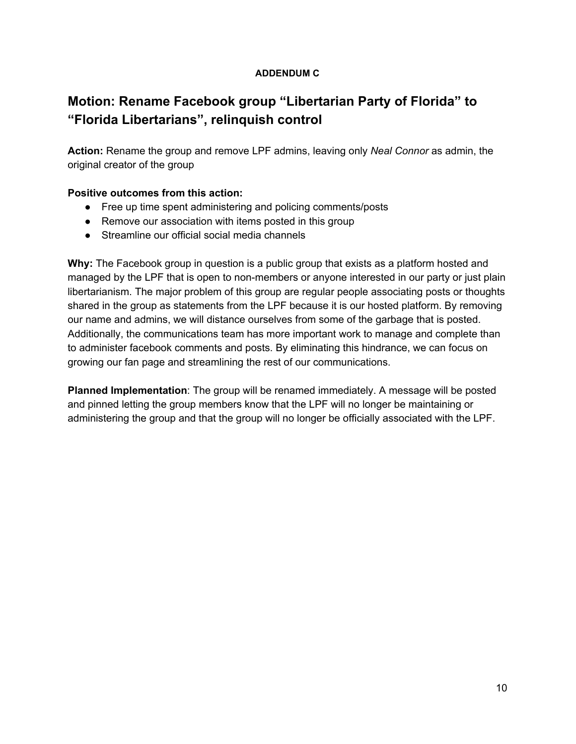## **ADDENDUM C**

# **Motion: Rename Facebook group "Libertarian Party of Florida" to "Florida Libertarians", relinquish control**

**Action:** Rename the group and remove LPF admins, leaving only *Neal Connor* as admin, the original creator of the group

## **Positive outcomes from this action:**

- Free up time spent administering and policing comments/posts
- Remove our association with items posted in this group
- Streamline our official social media channels

**Why:** The Facebook group in question is a public group that exists as a platform hosted and managed by the LPF that is open to non-members or anyone interested in our party or just plain libertarianism. The major problem of this group are regular people associating posts or thoughts shared in the group as statements from the LPF because it is our hosted platform. By removing our name and admins, we will distance ourselves from some of the garbage that is posted. Additionally, the communications team has more important work to manage and complete than to administer facebook comments and posts. By eliminating this hindrance, we can focus on growing our fan page and streamlining the rest of our communications.

**Planned Implementation**: The group will be renamed immediately. A message will be posted and pinned letting the group members know that the LPF will no longer be maintaining or administering the group and that the group will no longer be officially associated with the LPF.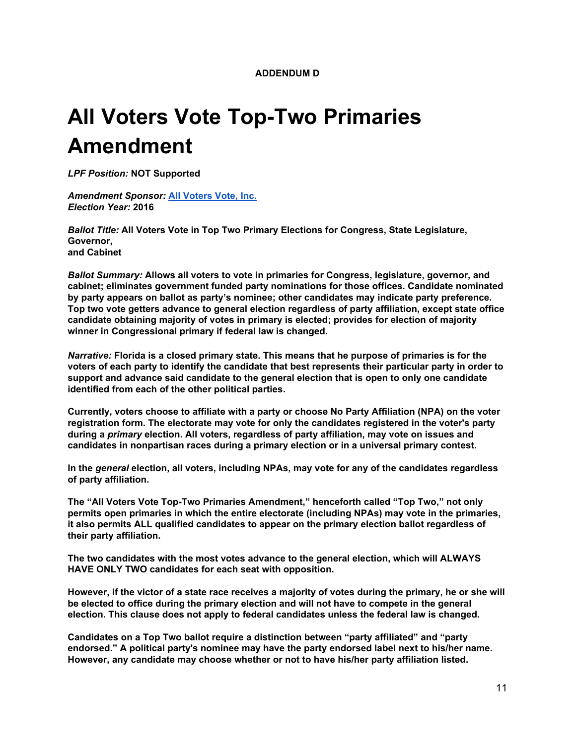**ADDENDUM D**

# **All Voters Vote Top-Two Primaries Amendment**

*LPF Position:* **NOT Supported**

 *Amendment Sponsor[:](http://dos.elections.myflorida.com/committees/ComDetail.asp?account=64632)* **[All Voters Vote,](http://dos.elections.myflorida.com/committees/ComDetail.asp?account=64632) Inc.** *Election Year:* **2016**

> *Ballot Title:* **All Voters Vote in Top Two Primary Elections for Congress, State Legislature, Governor, and Cabinet**

 *Ballot Summary:* **Allows all voters to vote in primaries for Congress, legislature, governor, and cabinet; eliminates government funded party nominations for those offices. Candidate nominated by party appears on ballot as party's nominee; other candidates may indicate party preference. Top two vote getters advance to general election regardless of party affiliation, except state office candidate obtaining majority of votes in primary is elected; provides for election of majority winner in Congressional primary if federal law is changed.**

 *Narrative:* **Florida is a closed primary state. This means that he purpose of primaries is for the voters of each party to identify the candidate that best represents their particular party in order to support and advance said candidate to the general election that is open to only one candidate identified from each of the other political parties.**

**Currently, voters choose to affiliate with a party or choose No Party Affiliation (NPA) on the voter registration form. The electorate may vote for only the candidates registered in the voter's party during a** *primary* **election. All voters, regardless of party affiliation, may vote on issues and candidates in nonpartisan races during a primary election or in a universal primary contest.**

 **In the** *general* **election, all voters, including NPAs, may vote for any of the candidates regardless of party affiliation.**

**The "All Voters Vote Top-Two Primaries Amendment," henceforth called "Top Two," not only permits open primaries in which the entire electorate (including NPAs) may vote in the primaries, it also permits ALL qualified candidates to appear on the primary election ballot regardless of their party affiliation.**

**The two candidates with the most votes advance to the general election, which will ALWAYS HAVE ONLY TWO candidates for each seat with opposition.**

**However, if the victor of a state race receives a majority of votes during the primary, he or she will be elected to office during the primary election and will not have to compete in the general election. This clause does not apply to federal candidates unless the federal law is changed.**

**Candidates on a Top Two ballot require a distinction between "party affiliated" and "party endorsed." A political party's nominee may have the party endorsed label next to his/her name. However, any candidate may choose whether or not to have his/her party affiliation listed.**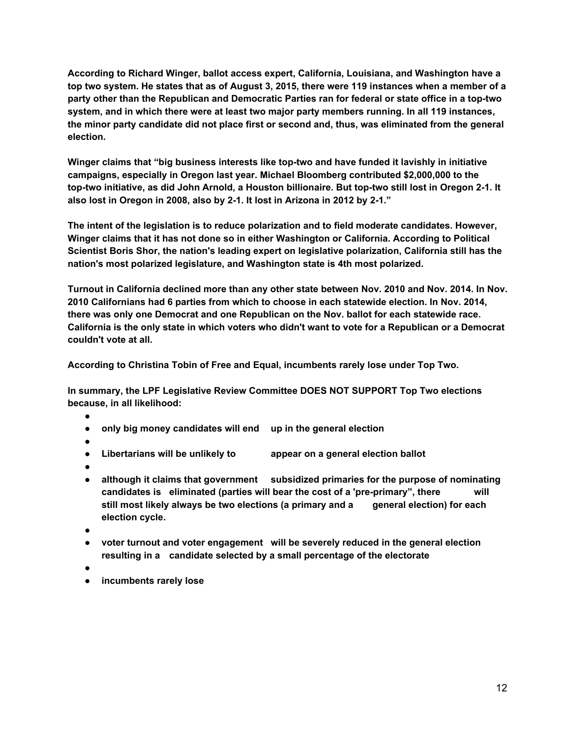**According to Richard Winger, ballot access expert, California, Louisiana, and Washington have a top two system. He states that as of August 3, 2015, there were 119 instances when a member of a party other than the Republican and Democratic Parties ran for federal or state office in a top-two system, and in which there were at least two major party members running. In all 119 instances, the minor party candidate did not place first or second and, thus, was eliminated from the general election.**

**Winger claims that "big business interests like top-two and have funded it lavishly in initiative campaigns, especially in Oregon last year. Michael Bloomberg contributed \$2,000,000 to the top-two initiative, as did John Arnold, a Houston billionaire. But top-two still lost in Oregon 2-1. It also lost in Oregon in 2008, also by 2-1. It lost in Arizona in 2012 by 2-1."**

**The intent of the legislation is to reduce polarization and to field moderate candidates. However, Winger claims that it has not done so in either Washington or California. According to Political Scientist Boris Shor, the nation's leading expert on legislative polarization, California still has the nation's most polarized legislature, and Washington state is 4th most polarized.**

**Turnout in California declined more than any other state between Nov. 2010 and Nov. 2014. In Nov. 2010 Californians had 6 parties from which to choose in each statewide election. In Nov. 2014, there was only one Democrat and one Republican on the Nov. ballot for each statewide race. California is the only state in which voters who didn't want to vote for a Republican or a Democrat couldn't vote at all.**

**According to Christina Tobin of Free and Equal, incumbents rarely lose under Top Two.**

**In summary, the LPF Legislative Review Committee DOES NOT SUPPORT Top Two elections because, in all likelihood:**

- **●**
- **● only big money candidates will end up in the general election**
- **●**
- **● Libertarians will be unlikely to appear on a general election ballot**
- **●**
- **● although it claims that government subsidized primaries for the purpose of nominating candidates is eliminated (parties will bear the cost of a 'pre-primary", there will still most likely always be two elections (a primary and a general election) for each election cycle.**
- **●**
- **● voter turnout and voter engagement will be severely reduced in the general election resulting in a candidate selected by a small percentage of the electorate**
- **●**
- **● incumbents rarely lose**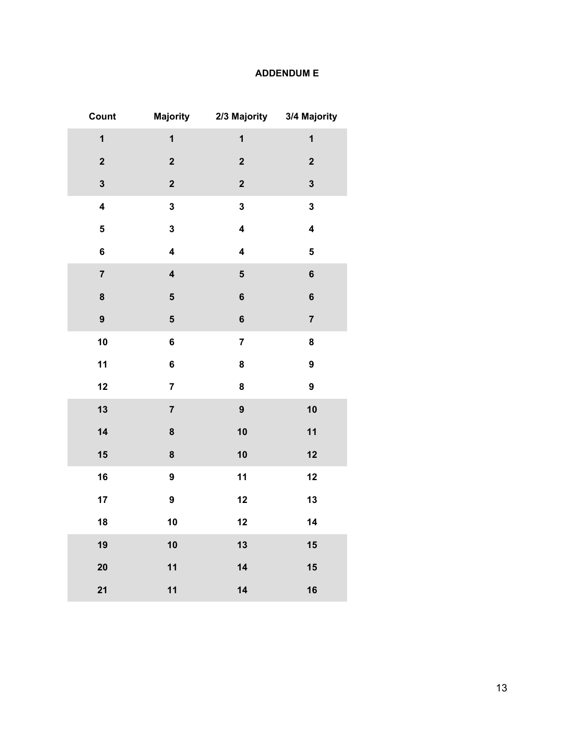## **ADDENDUM E**

| Count                   | <b>Majority</b>         |                         | 2/3 Majority 3/4 Majority |
|-------------------------|-------------------------|-------------------------|---------------------------|
| $\overline{\mathbf{1}}$ | $\overline{\mathbf{1}}$ | $\overline{\mathbf{1}}$ | $\overline{\mathbf{1}}$   |
| $\mathbf 2$             | $\overline{\mathbf{2}}$ | $\overline{\mathbf{2}}$ | $\mathbf 2$               |
| $\overline{\mathbf{3}}$ | $\mathbf{2}$            | $\overline{\mathbf{2}}$ | $\overline{\mathbf{3}}$   |
| $\overline{\mathbf{4}}$ | $\overline{\mathbf{3}}$ | $\overline{\mathbf{3}}$ | $\mathbf{3}$              |
| 5                       | $\mathbf 3$             | $\overline{\mathbf{4}}$ | $\overline{\mathbf{4}}$   |
| 6                       | $\overline{\mathbf{4}}$ | $\overline{\mathbf{4}}$ | 5                         |
| $\overline{7}$          | $\overline{\mathbf{4}}$ | 5                       | $\bf 6$                   |
| 8                       | ${\bf 5}$               | $\bf 6$                 | $\bf 6$                   |
| 9                       | $\overline{\mathbf{5}}$ | $\bf 6$                 | $\overline{\mathbf{7}}$   |
| 10                      | $\bf 6$                 | $\overline{\mathbf{7}}$ | 8                         |
| 11                      | $\bf 6$                 | 8                       | $\boldsymbol{9}$          |
| 12                      | $\overline{7}$          | 8                       | $\boldsymbol{9}$          |
| 13                      | $\overline{\mathbf{7}}$ | 9                       | 10                        |
| 14                      | 8                       | 10                      | 11                        |
| 15                      | 8                       | 10                      | 12                        |
| 16                      | $\boldsymbol{9}$        | 11                      | 12                        |
| 17                      | $\boldsymbol{9}$        | 12                      | 13                        |
| 18                      | 10                      | 12                      | 14                        |
| 19                      | 10                      | 13                      | 15                        |
| 20                      | 11                      | 14                      | 15                        |
| 21                      | 11                      | 14                      | 16                        |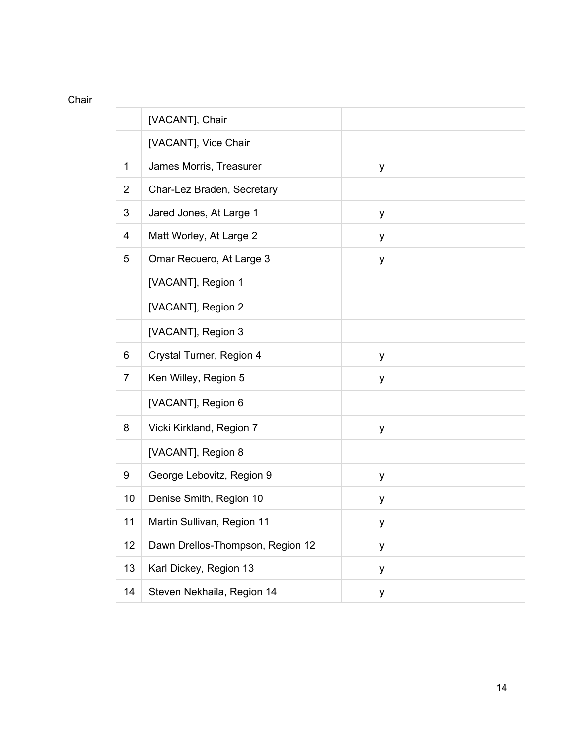## Chair

|                | [VACANT], Chair                  |   |
|----------------|----------------------------------|---|
|                | [VACANT], Vice Chair             |   |
| 1              | James Morris, Treasurer          | y |
| $\overline{2}$ | Char-Lez Braden, Secretary       |   |
| 3              | Jared Jones, At Large 1          | y |
| 4              | Matt Worley, At Large 2          | y |
| 5              | Omar Recuero, At Large 3         | y |
|                | [VACANT], Region 1               |   |
|                | [VACANT], Region 2               |   |
|                | [VACANT], Region 3               |   |
| 6              | Crystal Turner, Region 4         | y |
| $\overline{7}$ | Ken Willey, Region 5             | y |
|                | [VACANT], Region 6               |   |
| 8              | Vicki Kirkland, Region 7         | y |
|                | [VACANT], Region 8               |   |
| 9              | George Lebovitz, Region 9        | у |
| 10             | Denise Smith, Region 10          | у |
| 11             | Martin Sullivan, Region 11       | у |
| 12             | Dawn Drellos-Thompson, Region 12 | у |
| 13             | Karl Dickey, Region 13           | y |
| 14             | Steven Nekhaila, Region 14       | у |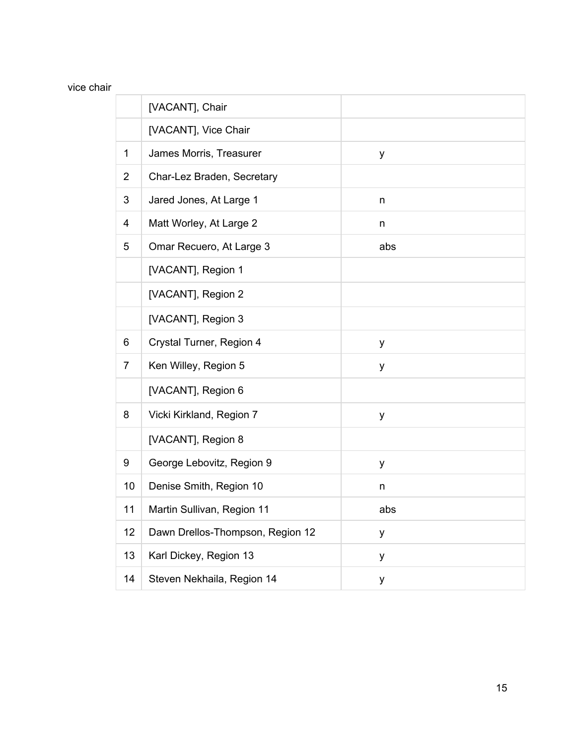## vice chair

|                | [VACANT], Chair                  |     |
|----------------|----------------------------------|-----|
|                | [VACANT], Vice Chair             |     |
| 1              | James Morris, Treasurer          | y   |
| $\overline{2}$ | Char-Lez Braden, Secretary       |     |
| 3              | Jared Jones, At Large 1          | n   |
| 4              | Matt Worley, At Large 2          | n   |
| 5              | Omar Recuero, At Large 3         | abs |
|                | [VACANT], Region 1               |     |
|                | [VACANT], Region 2               |     |
|                | [VACANT], Region 3               |     |
| 6              | Crystal Turner, Region 4         | y   |
| $\overline{7}$ | Ken Willey, Region 5             | у   |
|                | [VACANT], Region 6               |     |
| 8              | Vicki Kirkland, Region 7         | y   |
|                | [VACANT], Region 8               |     |
| 9              | George Lebovitz, Region 9        | y   |
| 10             | Denise Smith, Region 10          | n   |
| 11             | Martin Sullivan, Region 11       | abs |
| 12             | Dawn Drellos-Thompson, Region 12 | y   |
| 13             | Karl Dickey, Region 13           | y   |
| 14             | Steven Nekhaila, Region 14       | y   |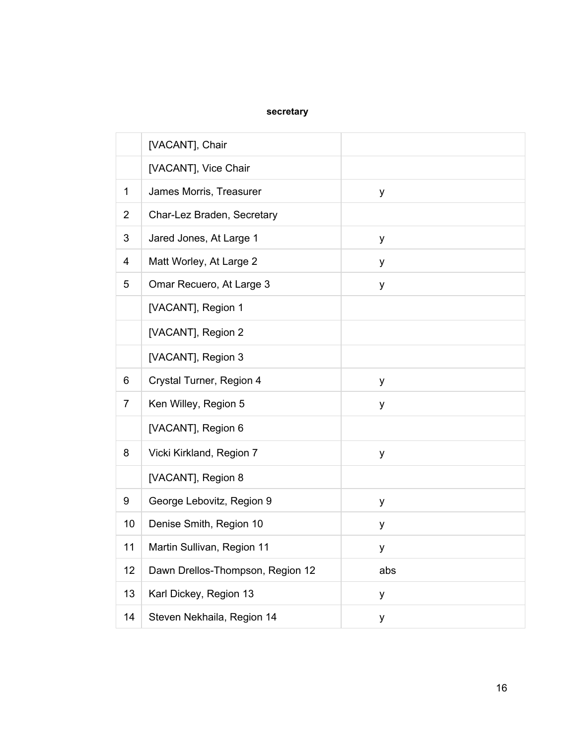## **secretary**

|                | [VACANT], Chair                  |     |
|----------------|----------------------------------|-----|
|                | [VACANT], Vice Chair             |     |
| $\mathbf{1}$   | James Morris, Treasurer          | у   |
| $\overline{2}$ | Char-Lez Braden, Secretary       |     |
| 3              | Jared Jones, At Large 1          | y   |
| 4              | Matt Worley, At Large 2          | у   |
| 5              | Omar Recuero, At Large 3         | у   |
|                | [VACANT], Region 1               |     |
|                | [VACANT], Region 2               |     |
|                | [VACANT], Region 3               |     |
| 6              | Crystal Turner, Region 4         | у   |
| $\overline{7}$ | Ken Willey, Region 5             | у   |
|                | [VACANT], Region 6               |     |
| 8              | Vicki Kirkland, Region 7         | у   |
|                | [VACANT], Region 8               |     |
| 9              | George Lebovitz, Region 9        | у   |
| 10             | Denise Smith, Region 10          | у   |
| 11             | Martin Sullivan, Region 11       | у   |
| 12             | Dawn Drellos-Thompson, Region 12 | abs |
| 13             | Karl Dickey, Region 13           | у   |
| 14             | Steven Nekhaila, Region 14       | у   |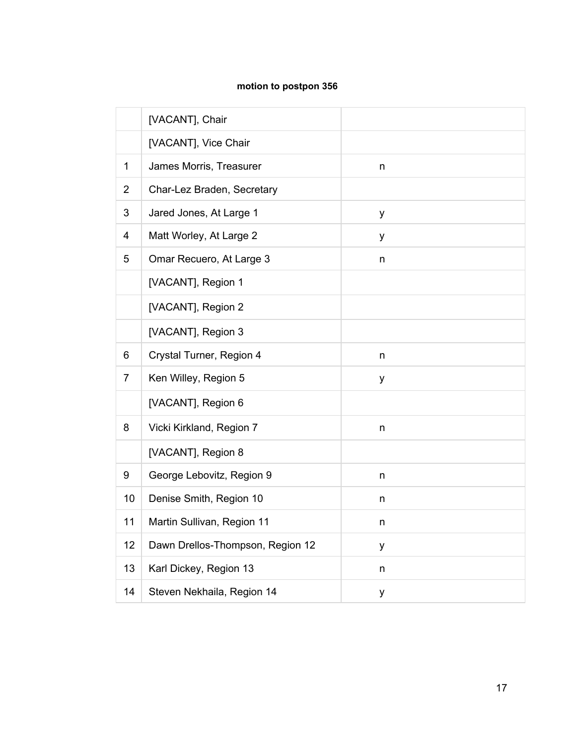## **motion to postpon 356**

|                | [VACANT], Chair                  |   |
|----------------|----------------------------------|---|
|                | [VACANT], Vice Chair             |   |
| 1              | James Morris, Treasurer          | n |
| $\overline{2}$ | Char-Lez Braden, Secretary       |   |
| 3              | Jared Jones, At Large 1          | y |
| 4              | Matt Worley, At Large 2          | у |
| 5              | Omar Recuero, At Large 3         | n |
|                | [VACANT], Region 1               |   |
|                | [VACANT], Region 2               |   |
|                | [VACANT], Region 3               |   |
| 6              | Crystal Turner, Region 4         | n |
| $\overline{7}$ | Ken Willey, Region 5             | у |
|                | [VACANT], Region 6               |   |
| 8              | Vicki Kirkland, Region 7         | n |
|                | [VACANT], Region 8               |   |
| 9              | George Lebovitz, Region 9        | n |
| 10             | Denise Smith, Region 10          | n |
| 11             | Martin Sullivan, Region 11       | n |
| 12             | Dawn Drellos-Thompson, Region 12 | y |
| 13             | Karl Dickey, Region 13           | n |
| 14             | Steven Nekhaila, Region 14       | у |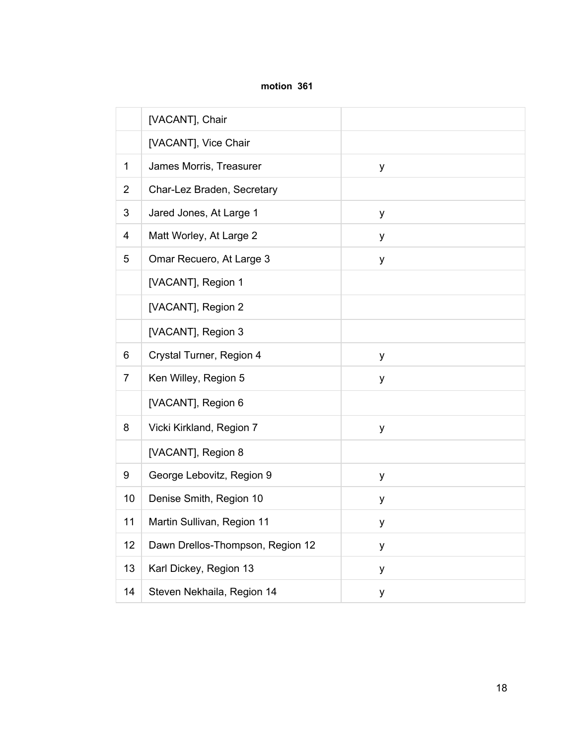#### **motion 361**

|                | [VACANT], Chair                  |   |
|----------------|----------------------------------|---|
|                | [VACANT], Vice Chair             |   |
| 1              | James Morris, Treasurer          | y |
| $\overline{2}$ | Char-Lez Braden, Secretary       |   |
| 3              | Jared Jones, At Large 1          | y |
| 4              | Matt Worley, At Large 2          | у |
| 5              | Omar Recuero, At Large 3         | y |
|                | [VACANT], Region 1               |   |
|                | [VACANT], Region 2               |   |
|                | [VACANT], Region 3               |   |
| 6              | Crystal Turner, Region 4         | у |
| $\overline{7}$ | Ken Willey, Region 5             | y |
|                | [VACANT], Region 6               |   |
| 8              | Vicki Kirkland, Region 7         | y |
|                | [VACANT], Region 8               |   |
| 9              | George Lebovitz, Region 9        | у |
| 10             | Denise Smith, Region 10          | у |
| 11             | Martin Sullivan, Region 11       | у |
| 12             | Dawn Drellos-Thompson, Region 12 | y |
| 13             | Karl Dickey, Region 13           | у |
| 14             | Steven Nekhaila, Region 14       | у |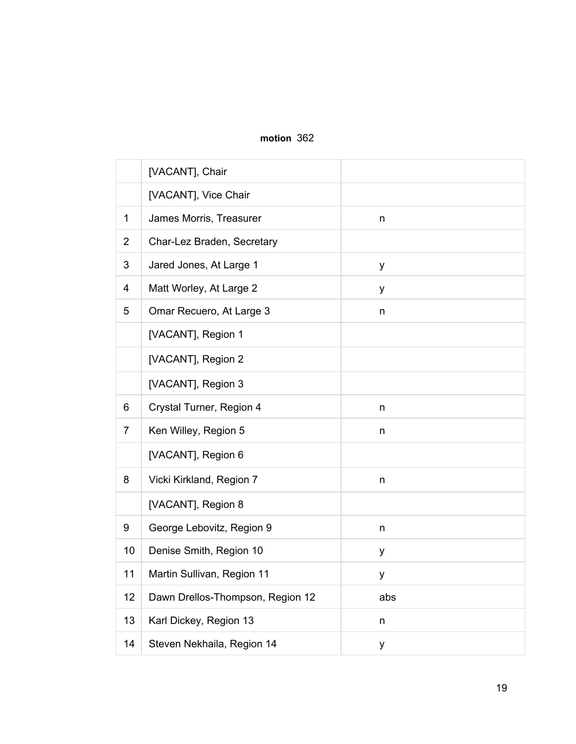## **motion** 362

|                | [VACANT], Chair                  |         |
|----------------|----------------------------------|---------|
|                | [VACANT], Vice Chair             |         |
| 1              | James Morris, Treasurer          | n       |
| $\overline{2}$ | Char-Lez Braden, Secretary       |         |
| 3              | Jared Jones, At Large 1          | у       |
| 4              | Matt Worley, At Large 2          | у       |
| 5              | Omar Recuero, At Large 3         | n.      |
|                | [VACANT], Region 1               |         |
|                | [VACANT], Region 2               |         |
|                | [VACANT], Region 3               |         |
| 6              | Crystal Turner, Region 4         | n       |
| $\overline{7}$ | Ken Willey, Region 5             | n       |
|                | [VACANT], Region 6               |         |
| 8              | Vicki Kirkland, Region 7         | n       |
|                | [VACANT], Region 8               |         |
| 9              | George Lebovitz, Region 9        | n       |
| 10             | Denise Smith, Region 10          | у       |
| 11             | Martin Sullivan, Region 11       | у       |
| 12             | Dawn Drellos-Thompson, Region 12 | abs     |
| 13             | Karl Dickey, Region 13           | $\sf n$ |
| 14             | Steven Nekhaila, Region 14       | у       |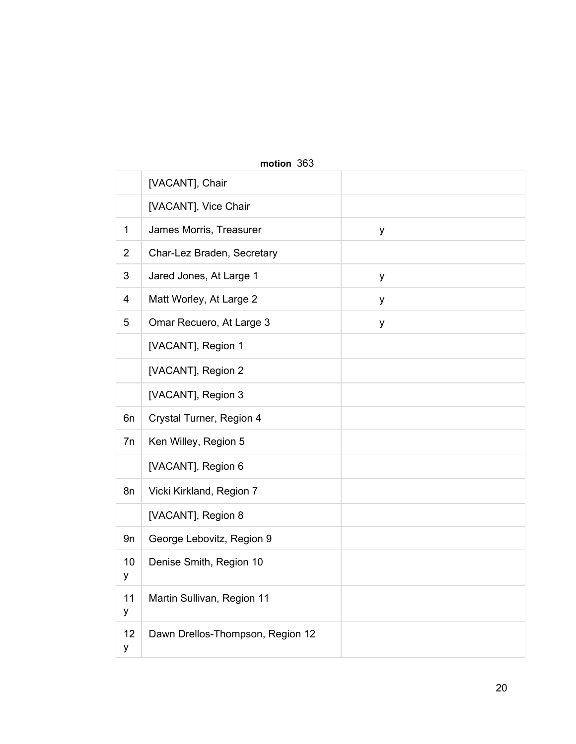|                | <b>INQUON</b> JUJ                |   |  |  |
|----------------|----------------------------------|---|--|--|
|                | [VACANT], Chair                  |   |  |  |
|                | [VACANT], Vice Chair             |   |  |  |
| 1              | James Morris, Treasurer          | y |  |  |
| $\overline{2}$ | Char-Lez Braden, Secretary       |   |  |  |
| 3              | Jared Jones, At Large 1          | у |  |  |
| $\overline{4}$ | Matt Worley, At Large 2          | у |  |  |
| 5              | Omar Recuero, At Large 3         | у |  |  |
|                | [VACANT], Region 1               |   |  |  |
|                | [VACANT], Region 2               |   |  |  |
|                | [VACANT], Region 3               |   |  |  |
| 6n             | Crystal Turner, Region 4         |   |  |  |
| 7n             | Ken Willey, Region 5             |   |  |  |
|                | [VACANT], Region 6               |   |  |  |
| 8n             | Vicki Kirkland, Region 7         |   |  |  |
|                | [VACANT], Region 8               |   |  |  |
| 9n             | George Lebovitz, Region 9        |   |  |  |
| 10<br>у        | Denise Smith, Region 10          |   |  |  |
| 11<br>у        | Martin Sullivan, Region 11       |   |  |  |
| 12<br>у        | Dawn Drellos-Thompson, Region 12 |   |  |  |

## **motion** 363